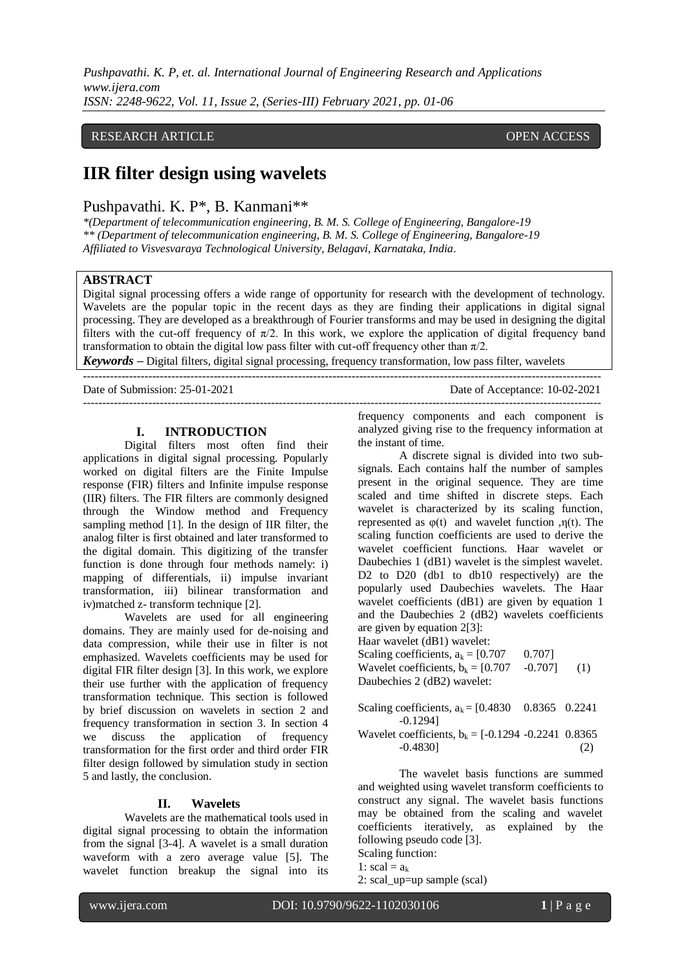*Pushpavathi. K. P, et. al. International Journal of Engineering Research and Applications www.ijera.com ISSN: 2248-9622, Vol. 11, Issue 2, (Series-III) February 2021, pp. 01-06*

# RESEARCH ARTICLE **CONSERVERS** OPEN ACCESS

# **IIR filter design using wavelets**

Pushpavathi. K. P\*, B. Kanmani\*\*

*\*(Department of telecommunication engineering, B. M. S. College of Engineering, Bangalore-19 \*\* (Department of telecommunication engineering, B. M. S. College of Engineering, Bangalore-19 Affiliated to Visvesvaraya Technological University, Belagavi, Karnataka, India.*

# **ABSTRACT**

Digital signal processing offers a wide range of opportunity for research with the development of technology. Wavelets are the popular topic in the recent days as they are finding their applications in digital signal processing. They are developed as a breakthrough of Fourier transforms and may be used in designing the digital filters with the cut-off frequency of  $\pi/2$ . In this work, we explore the application of digital frequency band transformation to obtain the digital low pass filter with cut-off frequency other than  $\pi/2$ .

---------------------------------------------------------------------------------------------------------------------------------------

*Keywords* **–** Digital filters, digital signal processing, frequency transformation, low pass filter, wavelets

Date of Submission: 25-01-2021 Date of Acceptance: 10-02-2021

---------------------------------------------------------------------------------------------------------------------------------------

#### **I. INTRODUCTION**

Digital filters most often find their applications in digital signal processing. Popularly worked on digital filters are the Finite Impulse response (FIR) filters and Infinite impulse response (IIR) filters. The FIR filters are commonly designed through the Window method and Frequency sampling method [1]. In the design of IIR filter, the analog filter is first obtained and later transformed to the digital domain. This digitizing of the transfer function is done through four methods namely: i) mapping of differentials, ii) impulse invariant transformation, iii) bilinear transformation and iv)matched z- transform technique [2].

Wavelets are used for all engineering domains. They are mainly used for de-noising and data compression, while their use in filter is not emphasized. Wavelets coefficients may be used for digital FIR filter design [3]. In this work, we explore their use further with the application of frequency transformation technique. This section is followed by brief discussion on wavelets in section 2 and frequency transformation in section 3. In section 4 we discuss the application of frequency transformation for the first order and third order FIR filter design followed by simulation study in section 5 and lastly, the conclusion.

#### **II. Wavelets**

Wavelets are the mathematical tools used in digital signal processing to obtain the information from the signal [3-4]. A wavelet is a small duration waveform with a zero average value [5]. The wavelet function breakup the signal into its

frequency components and each component is analyzed giving rise to the frequency information at the instant of time.

A discrete signal is divided into two subsignals. Each contains half the number of samples present in the original sequence. They are time scaled and time shifted in discrete steps. Each wavelet is characterized by its scaling function, represented as  $φ(t)$  and wavelet function ,η(t). The scaling function coefficients are used to derive the wavelet coefficient functions. Haar wavelet or Daubechies 1 (dB1) wavelet is the simplest wavelet. D<sub>2</sub> to D<sub>20</sub> (db<sub>1</sub> to db<sub>10</sub> respectively) are the popularly used Daubechies wavelets. The Haar wavelet coefficients (dB1) are given by equation 1 and the Daubechies 2 (dB2) wavelets coefficients are given by equation 2[3]:

Haar wavelet (dB1) wavelet:

Scaling coefficients,  $a_k = [0.707 \ 0.707]$ 

Wavelet coefficients,  $b_k = [0.707 \t -0.707]$  (1) Daubechies 2 (dB2) wavelet:

Scaling coefficients,  $a_k = [0.4830 \ 0.8365 \ 0.2241]$ -0.1294] Wavelet coefficients,  $b_k = [-0.1294 - 0.2241 \ 0.8365]$ 

-0.4830] (2)

The wavelet basis functions are summed and weighted using wavelet transform coefficients to construct any signal. The wavelet basis functions may be obtained from the scaling and wavelet coefficients iteratively, as explained by the following pseudo code [3]. Scaling function:

2: scal\_up=up sample (scal)

<sup>1:</sup>  $\text{scal} = a_k$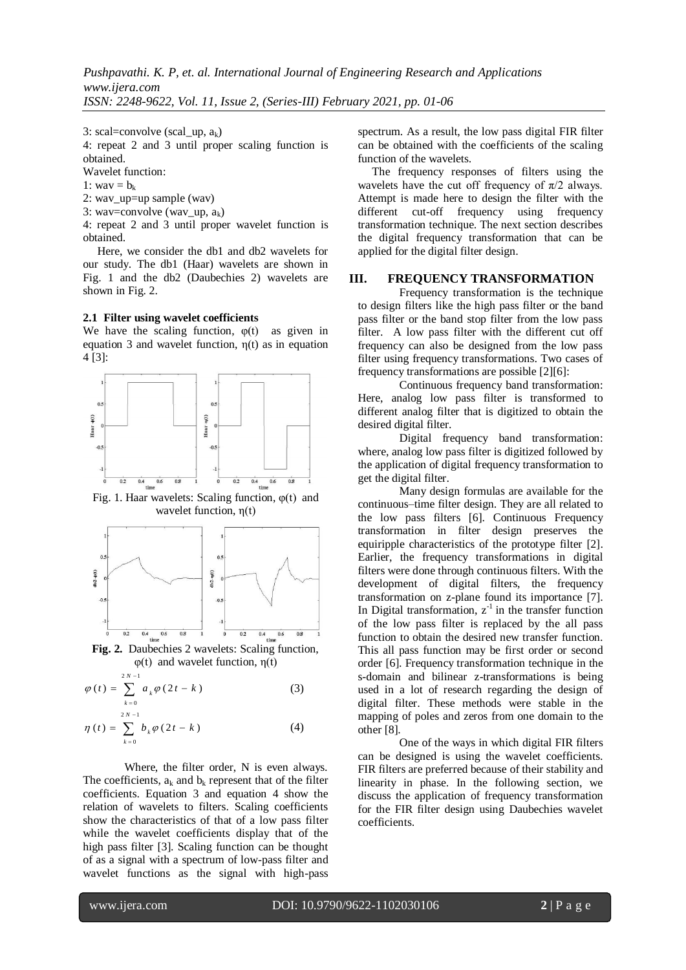3: scal=convolve (scal\_up,  $a_k$ )

4: repeat 2 and 3 until proper scaling function is obtained.

Wavelet function:

1: way  $= b_k$ 

2: wav\_up=up sample (wav)

3: wav=convolve (wav\_up,  $a_k$ )

4: repeat 2 and 3 until proper wavelet function is obtained.

 Here, we consider the db1 and db2 wavelets for our study. The db1 (Haar) wavelets are shown in Fig. 1 and the db2 (Daubechies 2) wavelets are shown in Fig. 2.

#### **2.1 Filter using wavelet coefficients**

We have the scaling function,  $\varphi(t)$  as given in equation 3 and wavelet function,  $\eta(t)$  as in equation 4 [3]:



Fig. 1. Haar wavelets: Scaling function,  $\varphi(t)$  and wavelet function, η(t)



**Fig. 2.** Daubechies 2 wavelets: Scaling function, φ(t) and wavelet function, η(t)

$$
\varphi(t) = \sum_{k=0}^{2N-1} a_k \varphi(2t - k)
$$
 (3)

$$
\eta(t) = \sum_{k=0}^{2N-1} b_k \varphi(2t - k)
$$
 (4)

Where, the filter order, N is even always. The coefficients,  $a_k$  and  $b_k$  represent that of the filter coefficients. Equation 3 and equation 4 show the relation of wavelets to filters. Scaling coefficients show the characteristics of that of a low pass filter while the wavelet coefficients display that of the high pass filter [3]. Scaling function can be thought of as a signal with a spectrum of low-pass filter and wavelet functions as the signal with high-pass

spectrum. As a result, the low pass digital FIR filter can be obtained with the coefficients of the scaling function of the wavelets.

 The frequency responses of filters using the wavelets have the cut off frequency of  $\pi/2$  always. Attempt is made here to design the filter with the different cut-off frequency using frequency transformation technique. The next section describes the digital frequency transformation that can be applied for the digital filter design.

## **III. FREQUENCY TRANSFORMATION**

Frequency transformation is the technique to design filters like the high pass filter or the band pass filter or the band stop filter from the low pass filter. A low pass filter with the different cut off frequency can also be designed from the low pass filter using frequency transformations. Two cases of frequency transformations are possible [2][6]:

Continuous frequency band transformation: Here, analog low pass filter is transformed to different analog filter that is digitized to obtain the desired digital filter.

Digital frequency band transformation: where, analog low pass filter is digitized followed by the application of digital frequency transformation to get the digital filter.

Many design formulas are available for the continuous–time filter design. They are all related to the low pass filters [6]. Continuous Frequency transformation in filter design preserves the equiripple characteristics of the prototype filter [2]. Earlier, the frequency transformations in digital filters were done through continuous filters. With the development of digital filters, the frequency transformation on z-plane found its importance [7]. In Digital transformation,  $z^{-1}$  in the transfer function of the low pass filter is replaced by the all pass function to obtain the desired new transfer function. This all pass function may be first order or second order [6]. Frequency transformation technique in the s-domain and bilinear z-transformations is being used in a lot of research regarding the design of digital filter. These methods were stable in the mapping of poles and zeros from one domain to the other [8].

One of the ways in which digital FIR filters can be designed is using the wavelet coefficients. FIR filters are preferred because of their stability and linearity in phase. In the following section, we discuss the application of frequency transformation for the FIR filter design using Daubechies wavelet coefficients.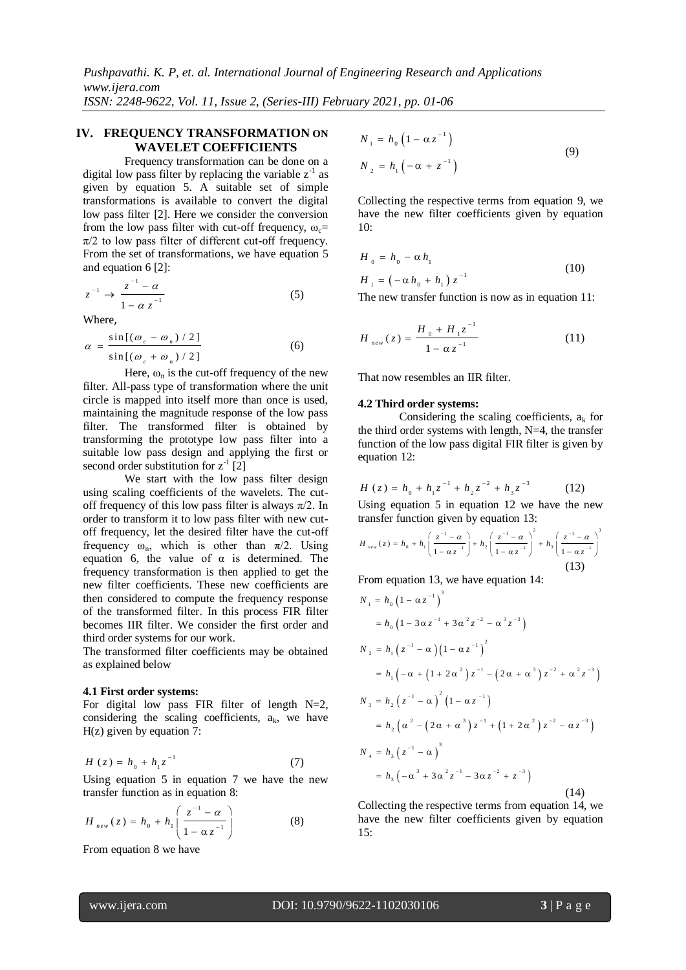*Pushpavathi. K. P, et. al. International Journal of Engineering Research and Applications www.ijera.com ISSN: 2248-9622, Vol. 11, Issue 2, (Series-III) February 2021, pp. 01-06*

# **IV. FREQUENCY TRANSFORMATION ON WAVELET COEFFICIENTS**

Frequency transformation can be done on a digital low pass filter by replacing the variable  $z^{-1}$  as given by equation 5. A suitable set of simple transformations is available to convert the digital low pass filter [2]. Here we consider the conversion from the low pass filter with cut-off frequency,  $\omega_c$ =  $\pi/2$  to low pass filter of different cut-off frequency. From the set of transformations, we have equation 5 and equation 6 [2]:

$$
z^{-1} \to \frac{z^{-1} - \alpha}{1 - \alpha z^{-1}} \tag{5}
$$

Where,

$$
\alpha = \frac{\sin[(\omega_c - \omega_n)/2]}{\sin[(\omega_c + \omega_n)/2]}
$$
 (6)

Here,  $\omega_n$  is the cut-off frequency of the new filter. All-pass type of transformation where the unit circle is mapped into itself more than once is used, maintaining the magnitude response of the low pass filter. The transformed filter is obtained by transforming the prototype low pass filter into a suitable low pass design and applying the first or second order substitution for  $z^{-1}$  [2]

We start with the low pass filter design using scaling coefficients of the wavelets. The cutoff frequency of this low pass filter is always  $\pi/2$ . In order to transform it to low pass filter with new cutoff frequency, let the desired filter have the cut-off frequency  $\omega_n$ , which is other than  $\pi/2$ . Using equation 6, the value of  $\alpha$  is determined. The frequency transformation is then applied to get the new filter coefficients. These new coefficients are then considered to compute the frequency response of the transformed filter. In this process FIR filter becomes IIR filter. We consider the first order and third order systems for our work.

The transformed filter coefficients may be obtained as explained below

#### **4.1 First order systems:**

For digital low pass FIR filter of length  $N=2$ , considering the scaling coefficients,  $a_k$ , we have  $H(z)$  given by equation 7:

$$
H(z) = h_0 + h_1 z^{-1}
$$
 (7)

Using equation 5 in equation 7 we have the new transfer function as in equation 8:

$$
H_{_{new}}(z) = h_0 + h_1 \left( \frac{z^{-1} - \alpha}{1 - \alpha z^{-1}} \right)
$$
 (8)

From equation 8 we have

$$
N_{1} = h_{0} (1 - \alpha z^{-1})
$$
  
\n
$$
N_{2} = h_{1} (-\alpha + z^{-1})
$$
\n(9)

Collecting the respective terms from equation 9, we have the new filter coefficients given by equation 10:

$$
H_0 = h_0 - \alpha h_1
$$
  
\n
$$
H_1 = (-\alpha h_0 + h_1) z^{-1}
$$
\n(10)

The new transfer function is now as in equation 11:

$$
H_{new}(z) = \frac{H_0 + H_1 z^{-1}}{1 - \alpha z^{-1}}
$$
 (11)

That now resembles an IIR filter.

#### **4.2 Third order systems:**

Considering the scaling coefficients,  $a_k$  for the third order systems with length, N=4, the transfer function of the low pass digital FIR filter is given by equation 12:

$$
H(z) = h_0 + h_1 z^{-1} + h_2 z^{-2} + h_3 z^{-3}
$$
 (12)

Using equation 5 in equation 12 we have the new

transfer function given by equation 13:  
\n
$$
H_{new}(z) = h_0 + h_1 \left( \frac{z^{-1} - \alpha}{1 - \alpha z^{-1}} \right) + h_2 \left( \frac{z^{-1} - \alpha}{1 - \alpha z^{-1}} \right)^2 + h_3 \left( \frac{z^{-1} - \alpha}{1 - \alpha z^{-1}} \right)^3
$$
\n(13)

From equation 13, we have equation 14:  
\n
$$
N_1 = h_0 (1 - \alpha z^{-1})^3
$$
\n
$$
= h_0 (1 - 3\alpha z^{-1} + 3\alpha^2 z^{-2} - \alpha^3 z^{-3})
$$
\n
$$
N_2 = h_1 (z^{-1} - \alpha) (1 - \alpha z^{-1})^2
$$
\n
$$
= h_1 (-\alpha + (1 + 2\alpha^2) z^{-1} - (2\alpha + \alpha^3) z^{-2} + \alpha^2 z^{-3})
$$
\n
$$
N_3 = h_2 (z^{-1} - \alpha)^2 (1 - \alpha z^{-1})
$$
\n
$$
= h_2 (\alpha^2 - (2\alpha + \alpha^3) z^{-1} + (1 + 2\alpha^2) z^{-2} - \alpha z^{-3})
$$
\n
$$
N_4 = h_3 (z^{-1} - \alpha)^3
$$
\n
$$
= h_3 (-\alpha^3 + 3\alpha^2 z^{-1} - 3\alpha z^{-2} + z^{-3})
$$
\n(14)

Collecting the respective terms from equation 14, we have the new filter coefficients given by equation 15: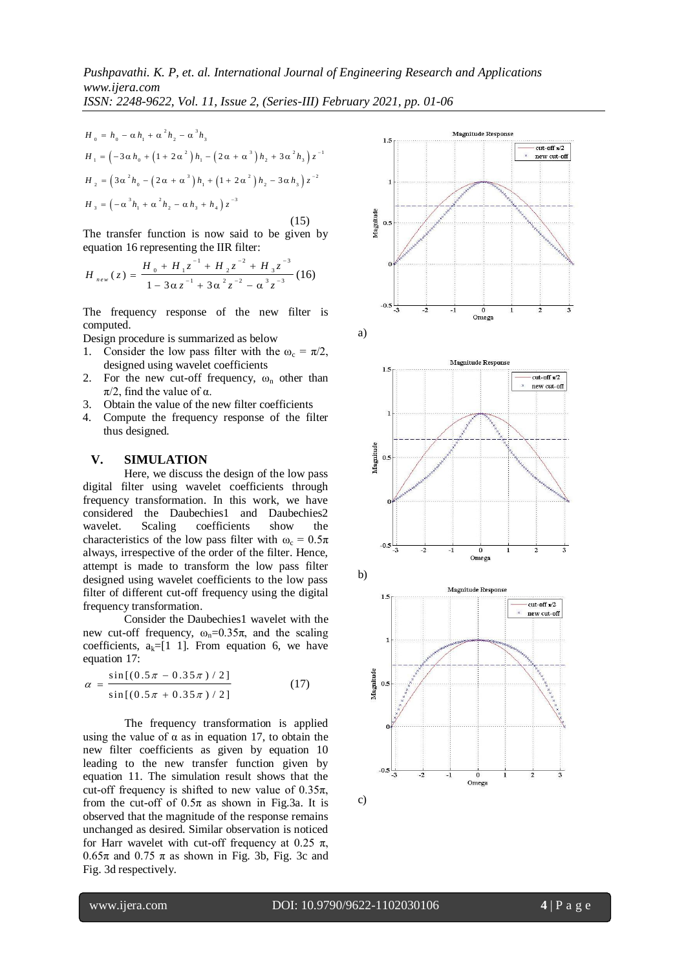$$
H_0 = h_0 - \alpha h_1 + \alpha^2 h_2 - \alpha^3 h_3
$$
  
\n
$$
H_1 = \left(-3\alpha h_0 + \left(1 + 2\alpha^2\right)h_1 - \left(2\alpha + \alpha^3\right)h_2 + 3\alpha^2 h_3\right)z^{-1}
$$
  
\n
$$
H_2 = \left(3\alpha^2 h_0 - \left(2\alpha + \alpha^3\right)h_1 + \left(1 + 2\alpha^2\right)h_2 - 3\alpha h_3\right)z^{-2}
$$
  
\n
$$
H_3 = \left(-\alpha^3 h_1 + \alpha^2 h_2 - \alpha h_3 + h_4\right)z^{-3}
$$
\n(15)

The transfer function is now said to be given by

equation 16 representing the IIR filter:  
\n
$$
H_{new}(z) = \frac{H_0 + H_1 z^{-1} + H_2 z^{-2} + H_3 z^{-3}}{1 - 3\alpha z^{-1} + 3\alpha^2 z^{-2} - \alpha^3 z^{-3}} (16)
$$

The frequency response of the new filter is computed.

Design procedure is summarized as below

- 1. Consider the low pass filter with the  $\omega_c = \pi/2$ , designed using wavelet coefficients
- 2. For the new cut-off frequency,  $\omega_n$  other than  $\pi/2$ , find the value of  $\alpha$ .
- 3. Obtain the value of the new filter coefficients
- 4. Compute the frequency response of the filter thus designed.

# **V. SIMULATION**

Here, we discuss the design of the low pass digital filter using wavelet coefficients through frequency transformation. In this work, we have considered the Daubechies1 and Daubechies2 wavelet. Scaling coefficients show the characteristics of the low pass filter with  $\omega_c = 0.5\pi$ always, irrespective of the order of the filter. Hence, attempt is made to transform the low pass filter designed using wavelet coefficients to the low pass filter of different cut-off frequency using the digital frequency transformation.

Consider the Daubechies1 wavelet with the new cut-off frequency,  $ω_n=0.35π$ , and the scaling coefficients,  $a_k=[1 \ 1]$ . From equation 6, we have equation 17:

$$
\alpha = \frac{\sin[(0.5\pi - 0.35\pi)/2]}{\sin[(0.5\pi + 0.35\pi)/2]}
$$
(17)

The frequency transformation is applied using the value of  $\alpha$  as in equation 17, to obtain the new filter coefficients as given by equation 10 leading to the new transfer function given by equation 11. The simulation result shows that the cut-off frequency is shifted to new value of  $0.35\pi$ , from the cut-off of  $0.5\pi$  as shown in Fig.3a. It is observed that the magnitude of the response remains unchanged as desired. Similar observation is noticed for Harr wavelet with cut-off frequency at 0.25  $\pi$ ,  $0.65\pi$  and  $0.75\pi$  as shown in Fig. 3b, Fig. 3c and Fig. 3d respectively.





c)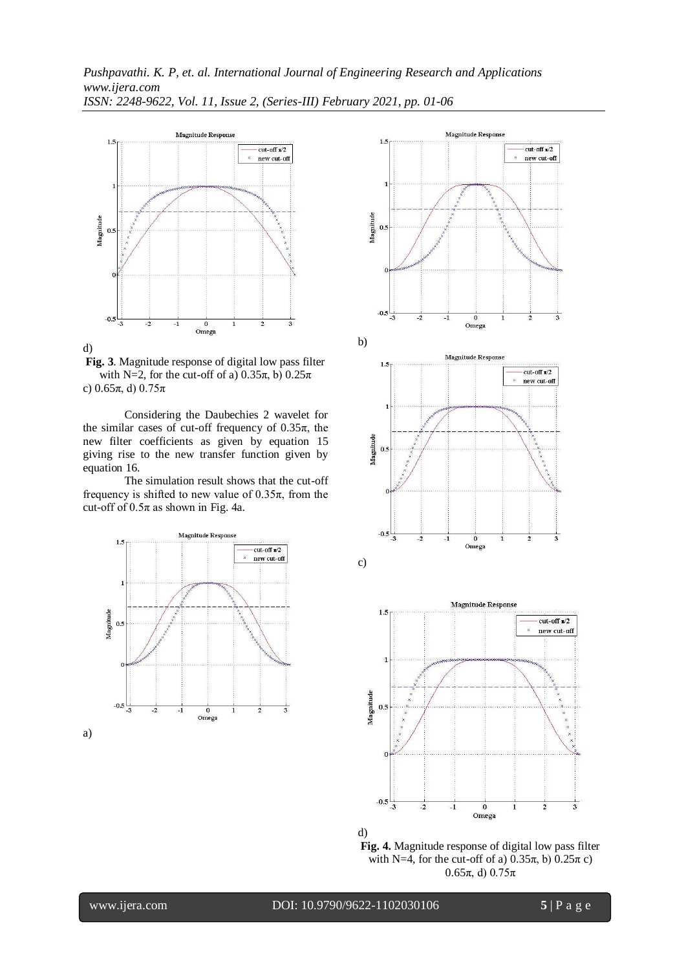

**Fig. 3**. Magnitude response of digital low pass filter with N=2, for the cut-off of a)  $0.35\pi$ , b)  $0.25\pi$ c)  $0.65π$ , d)  $0.75π$ 

Considering the Daubechies 2 wavelet for the similar cases of cut-off frequency of  $0.35\pi$ , the new filter coefficients as given by equation 15 giving rise to the new transfer function given by equation 16.

The simulation result shows that the cut-off frequency is shifted to new value of  $0.35\pi$ , from the cut-off of  $0.5\pi$  as shown in Fig. 4a.







www.ijera.com DOI: 10.9790/9622-1102030106 **5** | P a g e